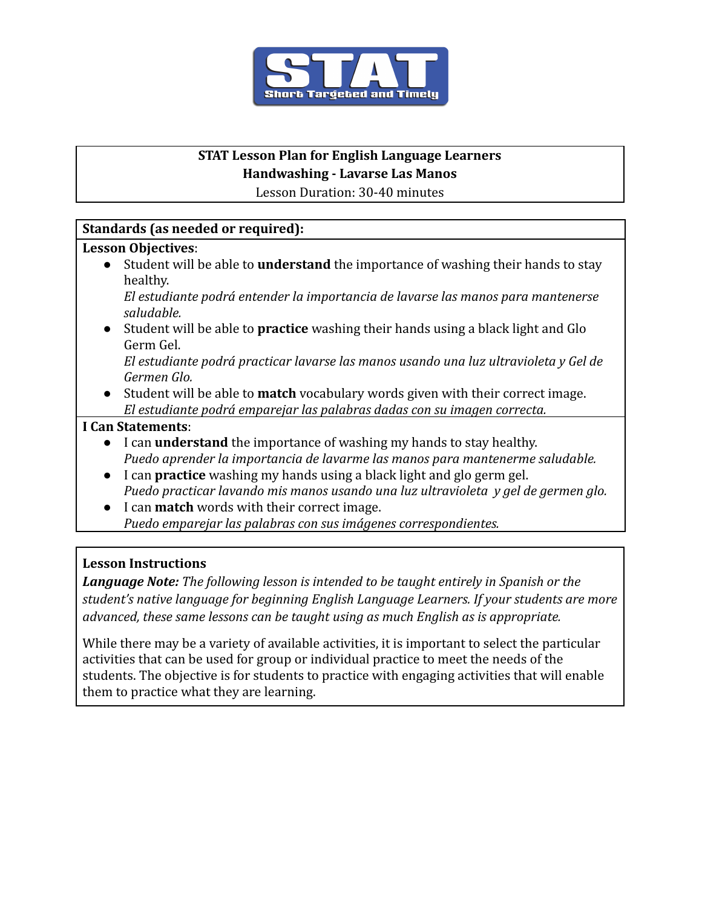

# **STAT Lesson Plan for English Language Learners**

#### **Handwashing - Lavarse Las Manos**

Lesson Duration: 30-40 minutes

# **Standards (as needed or required):**

### **Lesson Objectives**:

● Student will be able to **understand** the importance of washing their hands to stay healthy.

*El estudiante podrá entender la importancia de lavarse las manos para mantenerse saludable.*

*●* Student will be able to **practice** washing their hands using a black light and Glo Germ Gel.

*El estudiante podrá practicar lavarse las manos usando una luz ultravioleta y Gel de Germen Glo.*

● Student will be able to **match** vocabulary words given with their correct image. *El estudiante podrá emparejar las palabras dadas con su imagen correcta.*

# **I Can Statements**:

- I can **understand** the importance of washing my hands to stay healthy. *Puedo aprender la importancia de lavarme las manos para mantenerme saludable.*
- I can **practice** washing my hands using a black light and glo germ gel. *Puedo practicar lavando mis manos usando una luz ultravioleta y gel de germen glo.*
- I can **match** words with their correct image. *Puedo emparejar las palabras con sus imágenes correspondientes.*

# **Lesson Instructions**

*Language Note: The following lesson is intended to be taught entirely in Spanish or the student's native language for beginning English Language Learners. If your students are more advanced, these same lessons can be taught using as much English as is appropriate.*

While there may be a variety of available activities, it is important to select the particular activities that can be used for group or individual practice to meet the needs of the students. The objective is for students to practice with engaging activities that will enable them to practice what they are learning.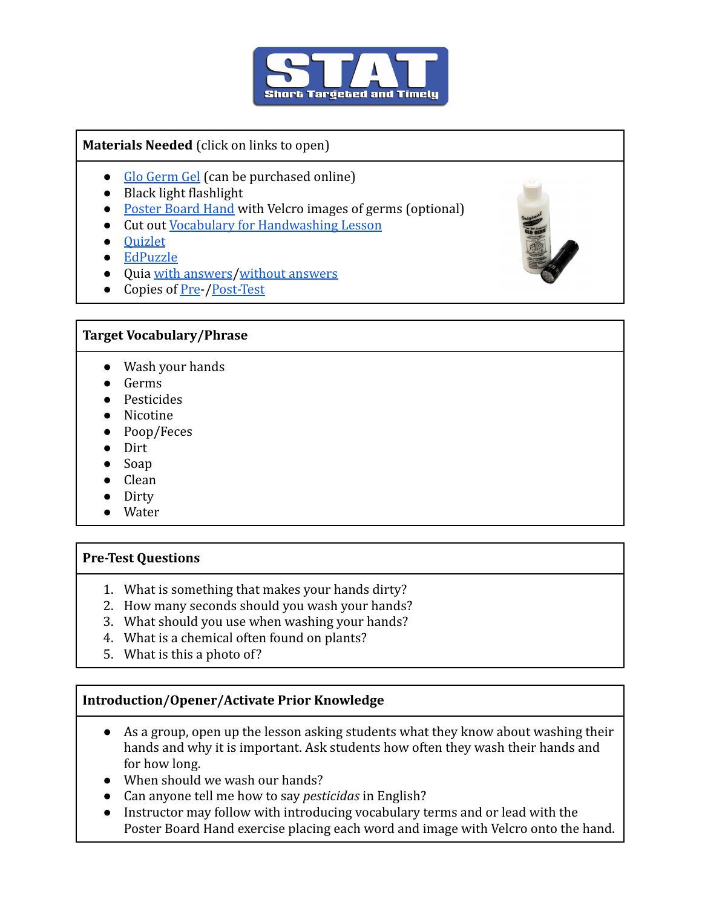

### **Materials Needed** (click on links to open)

- [Glo Germ Gel](https://www.amazon.com/s?k=glo+germ+gel&ref=nb_sb_noss_1) (can be purchased online)
- Black light flashlight
- [Poster Board Hand](https://drive.google.com/file/d/1znwyUtuuyf6gxmZANKwp_xgSQAEhjMyR/view?usp=sharing) with Velcro images of germs (optional)
- Cut out [Vocabulary for Handwashing Lesson](https://drive.google.com/file/d/15zdOSxLAlLyAoxB3xsLTmbmshJgg1bG0/view?usp=sharing)
- [Quizlet](https://quizlet.com/_a8yx79?x=1qqt&i=2rb91e)
- [EdPuzzle](https://edpuzzle.com/assignments/61aeeca037d78842a69e7dfc/watch)
- Quia [with answers](http://www.quia.com/quiz/8123103.html)/[without answers](http://www.quia.com/quiz/8123106.html)
- Copies of <u>[Pre-](https://docs.google.com/document/d/15X5Cj8mHgm3RQihDwK6MtxZvALrCfqYPSyFZSFHESK8/edit)/[Post-Test](https://docs.google.com/document/d/1ZphaxlluoUH7wl0sRR1U7V7IrrTPGdC-bNooou4hQkY/edit)</u>

# **Target Vocabulary/Phrase**

- Wash your hands
- Germs
- Pesticides
- Nicotine
- Poop/Feces
- Dirt
- Soap
- Clean
- Dirty
- Water

#### **Pre-Test Questions**

- 1. What is something that makes your hands dirty?
- 2. How many seconds should you wash your hands?
- 3. What should you use when washing your hands?
- 4. What is a chemical often found on plants?
- 5. What is this a photo of?

# **Introduction/Opener/Activate Prior Knowledge**

- As a group, open up the lesson asking students what they know about washing their hands and why it is important. Ask students how often they wash their hands and for how long.
- When should we wash our hands?
- Can anyone tell me how to say *pesticidas* in English?
- Instructor may follow with introducing vocabulary terms and or lead with the Poster Board Hand exercise placing each word and image with Velcro onto the hand.

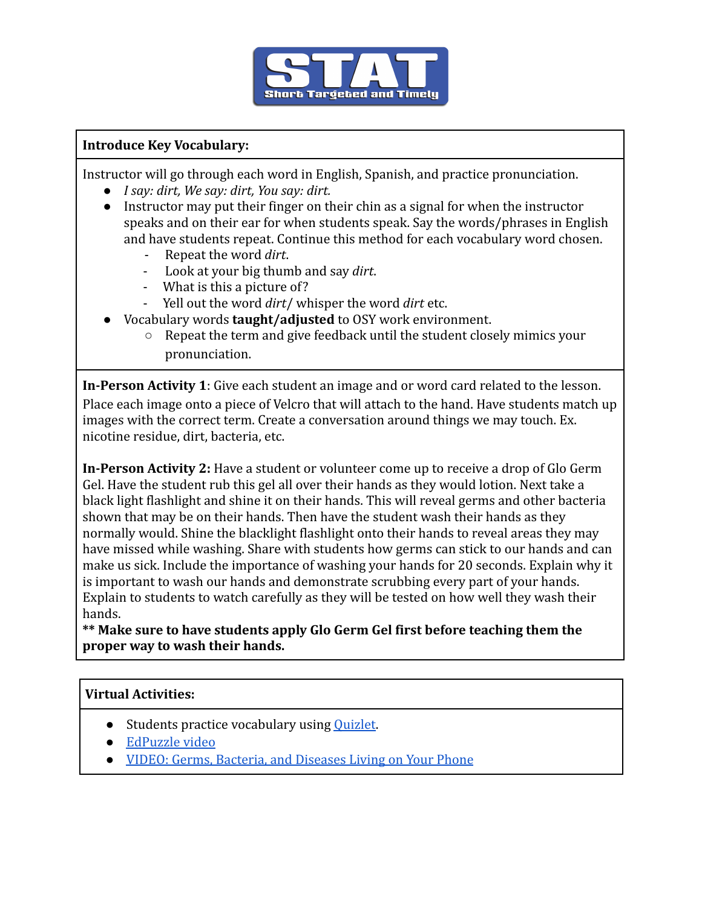

### **Introduce Key Vocabulary:**

Instructor will go through each word in English, Spanish, and practice pronunciation.

- *I say: dirt, We say: dirt, You say: dirt.*
- *●* Instructor may put their finger on their chin as a signal for when the instructor speaks and on their ear for when students speak. Say the words/phrases in English and have students repeat. Continue this method for each vocabulary word chosen.
	- Repeat the word *dirt*.
	- Look at your big thumb and say *dirt*.
	- What is this a picture of?
	- Yell out the word *dirt*/ whisper the word *dirt* etc.
- *●* Vocabulary words **taught/adjusted** to OSY work environment.
	- Repeat the term and give feedback until the student closely mimics your pronunciation.

**In-Person Activity 1**: Give each student an image and or word card related to the lesson. Place each image onto a piece of Velcro that will attach to the hand. Have students match up images with the correct term. Create a conversation around things we may touch. Ex. nicotine residue, dirt, bacteria, etc.

**In-Person Activity 2:** Have a student or volunteer come up to receive a drop of Glo Germ Gel. Have the student rub this gel all over their hands as they would lotion. Next take a black light flashlight and shine it on their hands. This will reveal germs and other bacteria shown that may be on their hands. Then have the student wash their hands as they normally would. Shine the blacklight flashlight onto their hands to reveal areas they may have missed while washing. Share with students how germs can stick to our hands and can make us sick. Include the importance of washing your hands for 20 seconds. Explain why it is important to wash our hands and demonstrate scrubbing every part of your hands. Explain to students to watch carefully as they will be tested on how well they wash their hands.

**\*\* Make sure to have students apply Glo Germ Gel first before teaching them the proper way to wash their hands.**

# **Virtual Activities:**

- Students practice vocabulary using [Quizlet.](https://quizlet.com/_a8yx79?x=1qqt&i=2rb91e)
- [EdPuzzle video](https://edpuzzle.com/assignments/61aeeca037d78842a69e7dfc/watch)
- [VIDEO: Germs, Bacteria, and Diseases Living on Your Phone](https://drive.google.com/file/d/1uHeO8WelxRYdfDZ-pj3eBAvKkZahiqFy/view?usp=sharing)